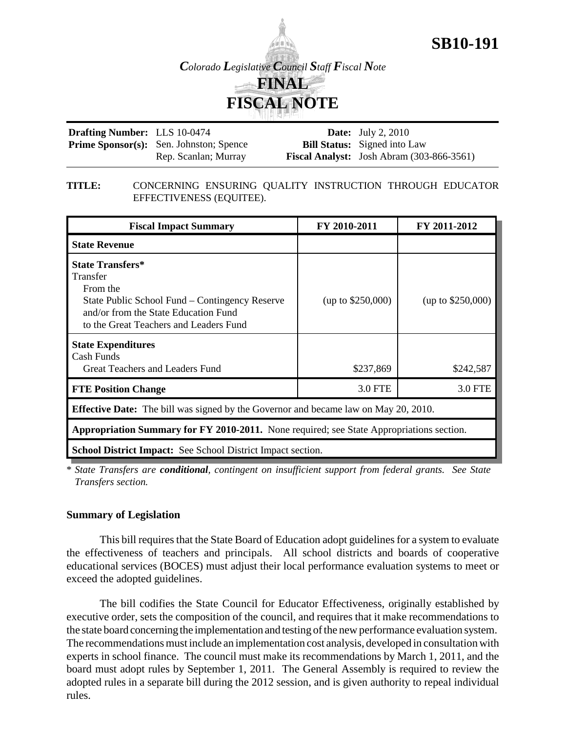# **SB10-191**

*Colorado Legislative Council Staff Fiscal Note*

# **FINAL FISCAL NOTE**

| <b>Drafting Number:</b> LLS 10-0474 |                                                | <b>Date:</b> July 2, 2010                          |
|-------------------------------------|------------------------------------------------|----------------------------------------------------|
|                                     | <b>Prime Sponsor(s):</b> Sen. Johnston; Spence | <b>Bill Status:</b> Signed into Law                |
|                                     | Rep. Scanlan; Murray                           | <b>Fiscal Analyst:</b> Josh Abram $(303-866-3561)$ |

#### **TITLE:** CONCERNING ENSURING QUALITY INSTRUCTION THROUGH EDUCATOR EFFECTIVENESS (EQUITEE).

| <b>Fiscal Impact Summary</b>                                                                                                                                                        | FY 2010-2011      | FY 2011-2012        |  |  |  |  |
|-------------------------------------------------------------------------------------------------------------------------------------------------------------------------------------|-------------------|---------------------|--|--|--|--|
| <b>State Revenue</b>                                                                                                                                                                |                   |                     |  |  |  |  |
| <b>State Transfers*</b><br>Transfer<br>From the<br>State Public School Fund – Contingency Reserve<br>and/or from the State Education Fund<br>to the Great Teachers and Leaders Fund | (up to \$250,000) | (up to $$250,000$ ) |  |  |  |  |
| <b>State Expenditures</b><br>Cash Funds<br>Great Teachers and Leaders Fund                                                                                                          | \$237,869         | \$242,587           |  |  |  |  |
| <b>FTE Position Change</b>                                                                                                                                                          | 3.0 FTE           | 3.0 FTE             |  |  |  |  |
| <b>Effective Date:</b> The bill was signed by the Governor and became law on May 20, 2010.                                                                                          |                   |                     |  |  |  |  |
| Appropriation Summary for FY 2010-2011. None required; see State Appropriations section.                                                                                            |                   |                     |  |  |  |  |
| <b>School District Impact:</b> See School District Impact section.                                                                                                                  |                   |                     |  |  |  |  |

\* *State Transfers are conditional, contingent on insufficient support from federal grants. See State Transfers section.* 

#### **Summary of Legislation**

This bill requires that the State Board of Education adopt guidelines for a system to evaluate the effectiveness of teachers and principals. All school districts and boards of cooperative educational services (BOCES) must adjust their local performance evaluation systems to meet or exceed the adopted guidelines.

The bill codifies the State Council for Educator Effectiveness, originally established by executive order, sets the composition of the council, and requires that it make recommendations to the state board concerning the implementation and testing of the new performance evaluation system. The recommendations must include an implementation cost analysis, developed in consultation with experts in school finance. The council must make its recommendations by March 1, 2011, and the board must adopt rules by September 1, 2011. The General Assembly is required to review the adopted rules in a separate bill during the 2012 session, and is given authority to repeal individual rules.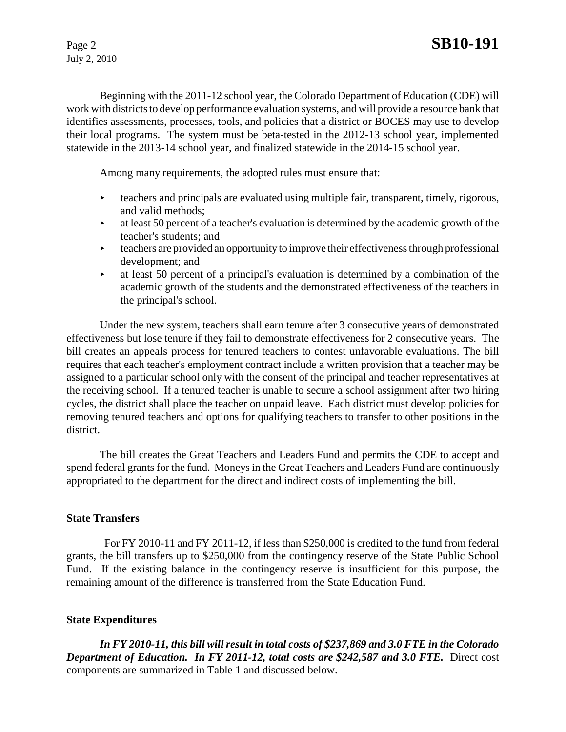July 2, 2010

Beginning with the 2011-12 school year, the Colorado Department of Education (CDE) will work with districts to develop performance evaluation systems, and will provide a resource bank that identifies assessments, processes, tools, and policies that a district or BOCES may use to develop their local programs. The system must be beta-tested in the 2012-13 school year, implemented statewide in the 2013-14 school year, and finalized statewide in the 2014-15 school year.

Among many requirements, the adopted rules must ensure that:

- **teachers and principals are evaluated using multiple fair, transparent, timely, rigorous,** and valid methods;
- $\blacktriangleright$  at least 50 percent of a teacher's evaluation is determined by the academic growth of the teacher's students; and
- $\rightarrow$  teachers are provided an opportunity to improve their effectiveness through professional development; and
- $\blacktriangleright$  at least 50 percent of a principal's evaluation is determined by a combination of the academic growth of the students and the demonstrated effectiveness of the teachers in the principal's school.

Under the new system, teachers shall earn tenure after 3 consecutive years of demonstrated effectiveness but lose tenure if they fail to demonstrate effectiveness for 2 consecutive years. The bill creates an appeals process for tenured teachers to contest unfavorable evaluations. The bill requires that each teacher's employment contract include a written provision that a teacher may be assigned to a particular school only with the consent of the principal and teacher representatives at the receiving school. If a tenured teacher is unable to secure a school assignment after two hiring cycles, the district shall place the teacher on unpaid leave. Each district must develop policies for removing tenured teachers and options for qualifying teachers to transfer to other positions in the district.

The bill creates the Great Teachers and Leaders Fund and permits the CDE to accept and spend federal grants for the fund. Moneys in the Great Teachers and Leaders Fund are continuously appropriated to the department for the direct and indirect costs of implementing the bill.

# **State Transfers**

 For FY 2010-11 and FY 2011-12, if less than \$250,000 is credited to the fund from federal grants, the bill transfers up to \$250,000 from the contingency reserve of the State Public School Fund. If the existing balance in the contingency reserve is insufficient for this purpose, the remaining amount of the difference is transferred from the State Education Fund.

# **State Expenditures**

*In FY 2010-11, this bill will result in total costs of \$237,869 and 3.0 FTE in the Colorado* **Department of Education. In FY 2011-12, total costs are \$242,587 and 3.0 FTE.** Direct cost components are summarized in Table 1 and discussed below.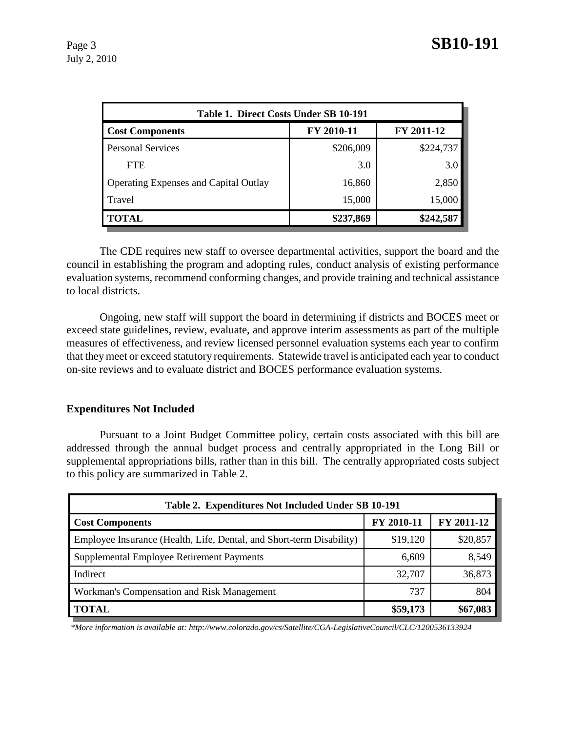| Table 1. Direct Costs Under SB 10-191        |            |            |  |  |  |  |
|----------------------------------------------|------------|------------|--|--|--|--|
| <b>Cost Components</b>                       | FY 2010-11 | FY 2011-12 |  |  |  |  |
| <b>Personal Services</b>                     | \$206,009  | \$224,737  |  |  |  |  |
| <b>FTE</b>                                   | 3.0        | 3.0        |  |  |  |  |
| <b>Operating Expenses and Capital Outlay</b> | 16,860     | 2,850      |  |  |  |  |
| Travel                                       | 15,000     | 15,000     |  |  |  |  |
| <b>TOTAL</b>                                 | \$237,869  | \$242,587  |  |  |  |  |

The CDE requires new staff to oversee departmental activities, support the board and the council in establishing the program and adopting rules, conduct analysis of existing performance evaluation systems, recommend conforming changes, and provide training and technical assistance to local districts.

Ongoing, new staff will support the board in determining if districts and BOCES meet or exceed state guidelines, review, evaluate, and approve interim assessments as part of the multiple measures of effectiveness, and review licensed personnel evaluation systems each year to confirm that they meet or exceed statutory requirements. Statewide travel is anticipated each year to conduct on-site reviews and to evaluate district and BOCES performance evaluation systems.

# **Expenditures Not Included**

Pursuant to a Joint Budget Committee policy, certain costs associated with this bill are addressed through the annual budget process and centrally appropriated in the Long Bill or supplemental appropriations bills, rather than in this bill. The centrally appropriated costs subject to this policy are summarized in Table 2.

| Table 2. Expenditures Not Included Under SB 10-191                   |            |            |  |  |  |  |
|----------------------------------------------------------------------|------------|------------|--|--|--|--|
| <b>Cost Components</b>                                               | FY 2010-11 | FY 2011-12 |  |  |  |  |
| Employee Insurance (Health, Life, Dental, and Short-term Disability) | \$19,120   | \$20,857   |  |  |  |  |
| Supplemental Employee Retirement Payments                            | 6,609      | 8,549      |  |  |  |  |
| Indirect                                                             | 32,707     | 36,873     |  |  |  |  |
| Workman's Compensation and Risk Management                           | 737        | 804        |  |  |  |  |
| <b>TOTAL</b>                                                         | \$59,173   | \$67,083   |  |  |  |  |

 *\*More information is available at: http://www.colorado.gov/cs/Satellite/CGA-LegislativeCouncil/CLC/1200536133924*